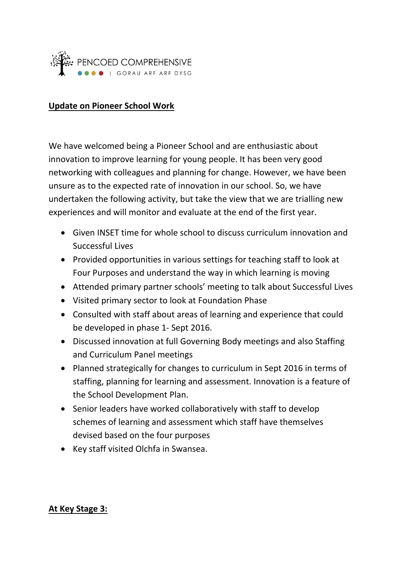

### **Update on Pioneer School Work**

We have welcomed being a Pioneer School and are enthusiastic about innovation to improve learning for young people. It has been very good networking with colleagues and planning for change. However, we have been unsure as to the expected rate of innovation in our school. So, we have undertaken the following activity, but take the view that we are trialling new experiences and will monitor and evaluate at the end of the first year.

- Given INSET time for whole school to discuss curriculum innovation and Successful Lives
- Provided opportunities in various settings for teaching staff to look at Four Purposes and understand the way in which learning is moving
- Attended primary partner schools' meeting to talk about Successful Lives
- Visited primary sector to look at Foundation Phase
- Consulted with staff about areas of learning and experience that could be developed in phase 1- Sept 2016.
- Discussed innovation at full Governing Body meetings and also Staffing and Curriculum Panel meetings
- Planned strategically for changes to curriculum in Sept 2016 in terms of staffing, planning for learning and assessment. Innovation is a feature of the School Development Plan.
- Senior leaders have worked collaboratively with staff to develop schemes of learning and assessment which staff have themselves devised based on the four purposes
- Key staff visited Olchfa in Swansea.

#### **At Key Stage 3:**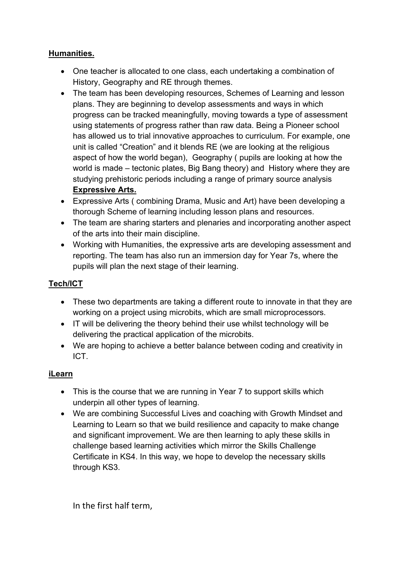### **Humanities.**

- One teacher is allocated to one class, each undertaking a combination of History, Geography and RE through themes.
- The team has been developing resources, Schemes of Learning and lesson plans. They are beginning to develop assessments and ways in which progress can be tracked meaningfully, moving towards a type of assessment using statements of progress rather than raw data. Being a Pioneer school has allowed us to trial innovative approaches to curriculum. For example, one unit is called "Creation" and it blends RE (we are looking at the religious aspect of how the world began), Geography ( pupils are looking at how the world is made – tectonic plates, Big Bang theory) and History where they are studying prehistoric periods including a range of primary source analysis **Expressive Arts.**
- Expressive Arts ( combining Drama, Music and Art) have been developing a thorough Scheme of learning including lesson plans and resources.
- The team are sharing starters and plenaries and incorporating another aspect of the arts into their main discipline.
- Working with Humanities, the expressive arts are developing assessment and reporting. The team has also run an immersion day for Year 7s, where the pupils will plan the next stage of their learning.

# **Tech/ICT**

- These two departments are taking a different route to innovate in that they are working on a project using microbits, which are small microprocessors.
- IT will be delivering the theory behind their use whilst technology will be delivering the practical application of the microbits.
- We are hoping to achieve a better balance between coding and creativity in ICT.

## **iLearn**

- This is the course that we are running in Year 7 to support skills which underpin all other types of learning.
- We are combining Successful Lives and coaching with Growth Mindset and Learning to Learn so that we build resilience and capacity to make change and significant improvement. We are then learning to aply these skills in challenge based learning activities which mirror the Skills Challenge Certificate in KS4. In this way, we hope to develop the necessary skills through KS3.

In the first half term,